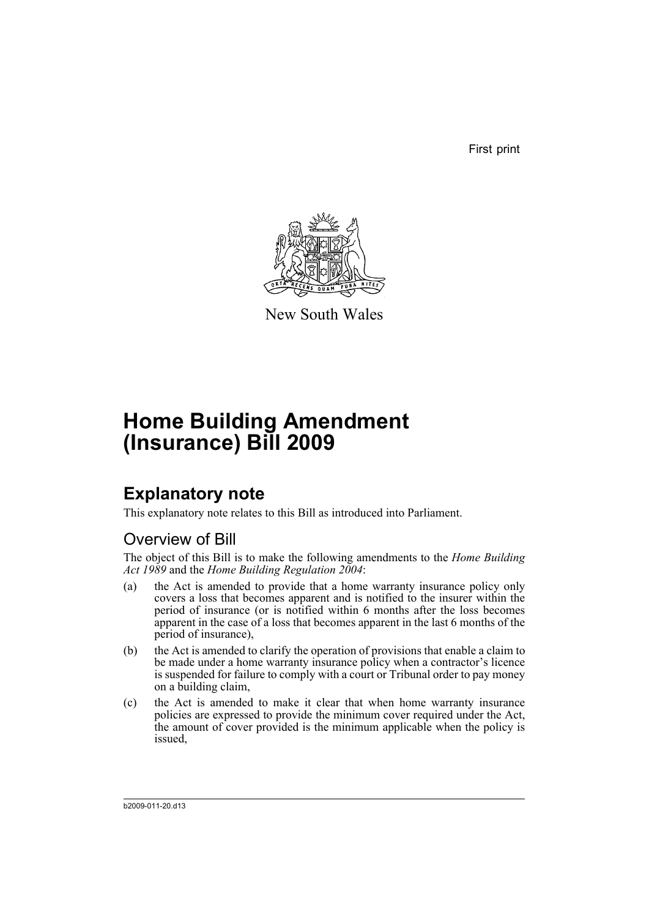First print



New South Wales

# **Home Building Amendment (Insurance) Bill 2009**

## **Explanatory note**

This explanatory note relates to this Bill as introduced into Parliament.

## Overview of Bill

The object of this Bill is to make the following amendments to the *Home Building Act 1989* and the *Home Building Regulation 2004*:

- (a) the Act is amended to provide that a home warranty insurance policy only covers a loss that becomes apparent and is notified to the insurer within the period of insurance (or is notified within 6 months after the loss becomes apparent in the case of a loss that becomes apparent in the last 6 months of the period of insurance),
- (b) the Act is amended to clarify the operation of provisions that enable a claim to be made under a home warranty insurance policy when a contractor's licence is suspended for failure to comply with a court or Tribunal order to pay money on a building claim,
- (c) the Act is amended to make it clear that when home warranty insurance policies are expressed to provide the minimum cover required under the Act, the amount of cover provided is the minimum applicable when the policy is issued,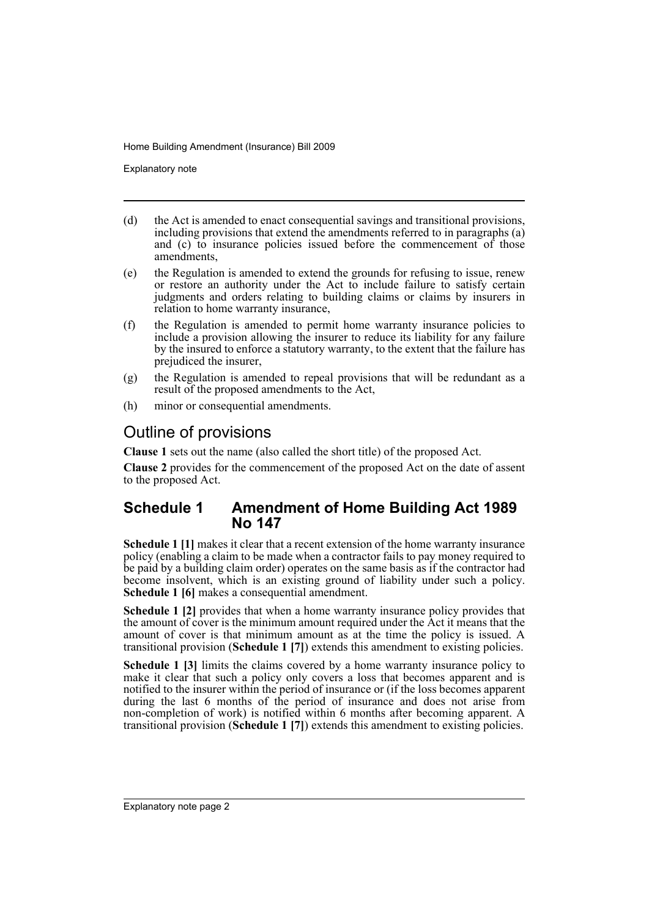Explanatory note

- (d) the Act is amended to enact consequential savings and transitional provisions, including provisions that extend the amendments referred to in paragraphs (a) and (c) to insurance policies issued before the commencement of those amendments,
- (e) the Regulation is amended to extend the grounds for refusing to issue, renew or restore an authority under the Act to include failure to satisfy certain judgments and orders relating to building claims or claims by insurers in relation to home warranty insurance,
- (f) the Regulation is amended to permit home warranty insurance policies to include a provision allowing the insurer to reduce its liability for any failure by the insured to enforce a statutory warranty, to the extent that the failure has prejudiced the insurer,
- (g) the Regulation is amended to repeal provisions that will be redundant as a result of the proposed amendments to the Act,
- (h) minor or consequential amendments.

## Outline of provisions

**Clause 1** sets out the name (also called the short title) of the proposed Act.

**Clause 2** provides for the commencement of the proposed Act on the date of assent to the proposed Act.

## **Schedule 1 Amendment of Home Building Act 1989 No 147**

**Schedule 1 [1]** makes it clear that a recent extension of the home warranty insurance policy (enabling a claim to be made when a contractor fails to pay money required to be paid by a building claim order) operates on the same basis as if the contractor had become insolvent, which is an existing ground of liability under such a policy. **Schedule 1 [6]** makes a consequential amendment.

**Schedule 1 [2]** provides that when a home warranty insurance policy provides that the amount of cover is the minimum amount required under the Act it means that the amount of cover is that minimum amount as at the time the policy is issued. A transitional provision (**Schedule 1 [7]**) extends this amendment to existing policies.

**Schedule 1 [3]** limits the claims covered by a home warranty insurance policy to make it clear that such a policy only covers a loss that becomes apparent and is notified to the insurer within the period of insurance or (if the loss becomes apparent during the last 6 months of the period of insurance and does not arise from non-completion of work) is notified within 6 months after becoming apparent. A transitional provision (**Schedule 1 [7]**) extends this amendment to existing policies.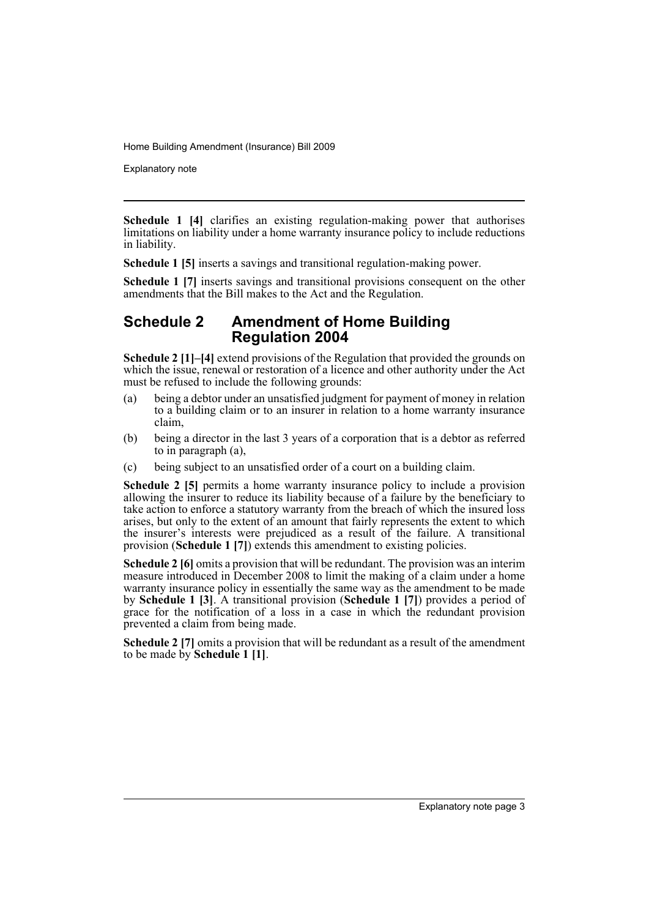Explanatory note

**Schedule 1 [4]** clarifies an existing regulation-making power that authorises limitations on liability under a home warranty insurance policy to include reductions in liability.

**Schedule 1 [5]** inserts a savings and transitional regulation-making power.

**Schedule 1 [7]** inserts savings and transitional provisions consequent on the other amendments that the Bill makes to the Act and the Regulation.

### **Schedule 2 Amendment of Home Building Regulation 2004**

**Schedule 2 [1]–[4]** extend provisions of the Regulation that provided the grounds on which the issue, renewal or restoration of a licence and other authority under the Act must be refused to include the following grounds:

- (a) being a debtor under an unsatisfied judgment for payment of money in relation to a building claim or to an insurer in relation to a home warranty insurance claim,
- (b) being a director in the last 3 years of a corporation that is a debtor as referred to in paragraph (a),
- (c) being subject to an unsatisfied order of a court on a building claim.

**Schedule 2 [5]** permits a home warranty insurance policy to include a provision allowing the insurer to reduce its liability because of a failure by the beneficiary to take action to enforce a statutory warranty from the breach of which the insured loss arises, but only to the extent of an amount that fairly represents the extent to which the insurer's interests were prejudiced as a result of the failure. A transitional provision (**Schedule 1 [7]**) extends this amendment to existing policies.

**Schedule 2 [6]** omits a provision that will be redundant. The provision was an interim measure introduced in December 2008 to limit the making of a claim under a home warranty insurance policy in essentially the same way as the amendment to be made by **Schedule 1 [3]**. A transitional provision (**Schedule 1 [7]**) provides a period of grace for the notification of a loss in a case in which the redundant provision prevented a claim from being made.

**Schedule 2** [7] omits a provision that will be redundant as a result of the amendment to be made by **Schedule 1 [1]**.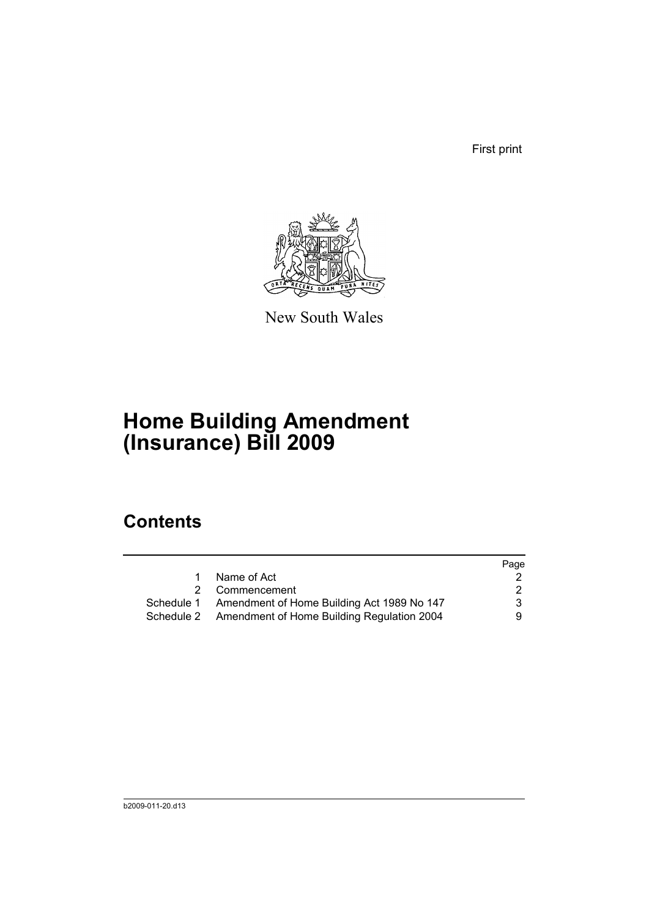First print



New South Wales

# **Home Building Amendment (Insurance) Bill 2009**

## **Contents**

|    |                                                       | Page |
|----|-------------------------------------------------------|------|
| 1. | Name of Act                                           |      |
|    | 2 Commencement                                        | 2    |
|    | Schedule 1 Amendment of Home Building Act 1989 No 147 | 3    |
|    | Schedule 2 Amendment of Home Building Regulation 2004 | 9.   |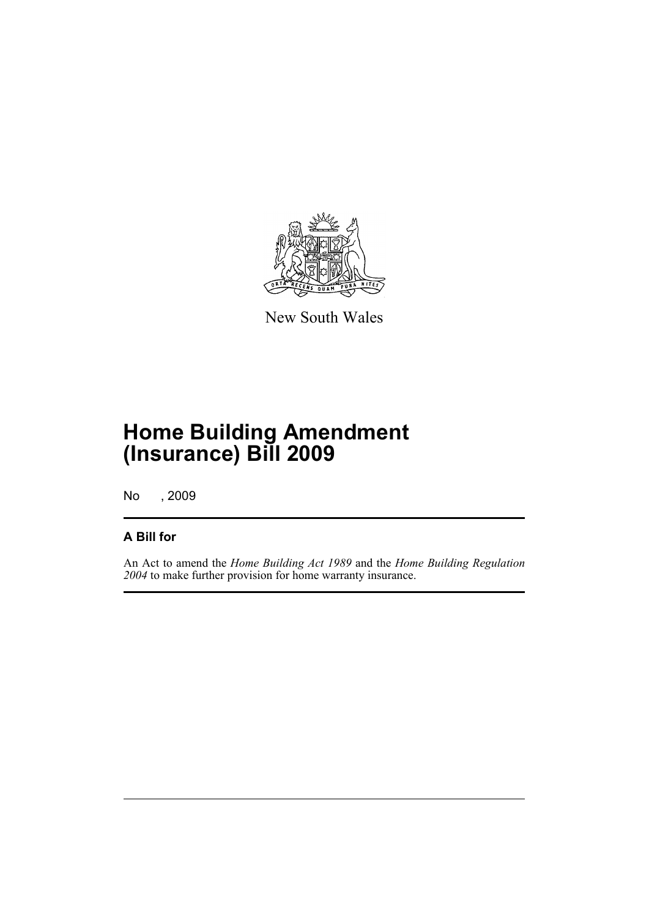

New South Wales

## **Home Building Amendment (Insurance) Bill 2009**

No , 2009

## **A Bill for**

An Act to amend the *Home Building Act 1989* and the *Home Building Regulation 2004* to make further provision for home warranty insurance.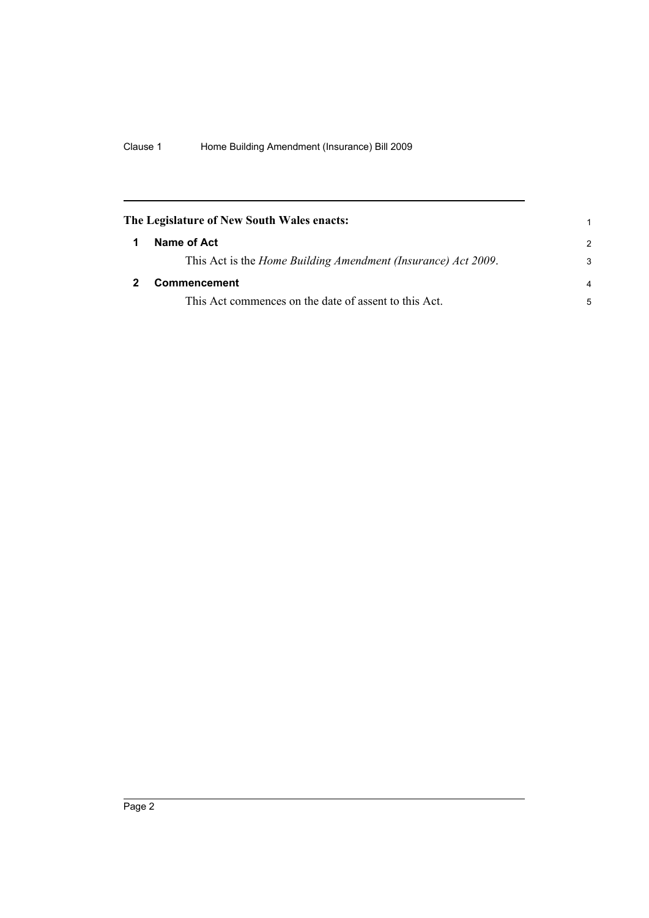<span id="page-7-1"></span><span id="page-7-0"></span>

| The Legislature of New South Wales enacts: |                                                               |                |
|--------------------------------------------|---------------------------------------------------------------|----------------|
|                                            | Name of Act                                                   | $\mathcal{P}$  |
|                                            | This Act is the Home Building Amendment (Insurance) Act 2009. | 3              |
|                                            | <b>Commencement</b>                                           | $\overline{a}$ |
|                                            | This Act commences on the date of assent to this Act.         | 5              |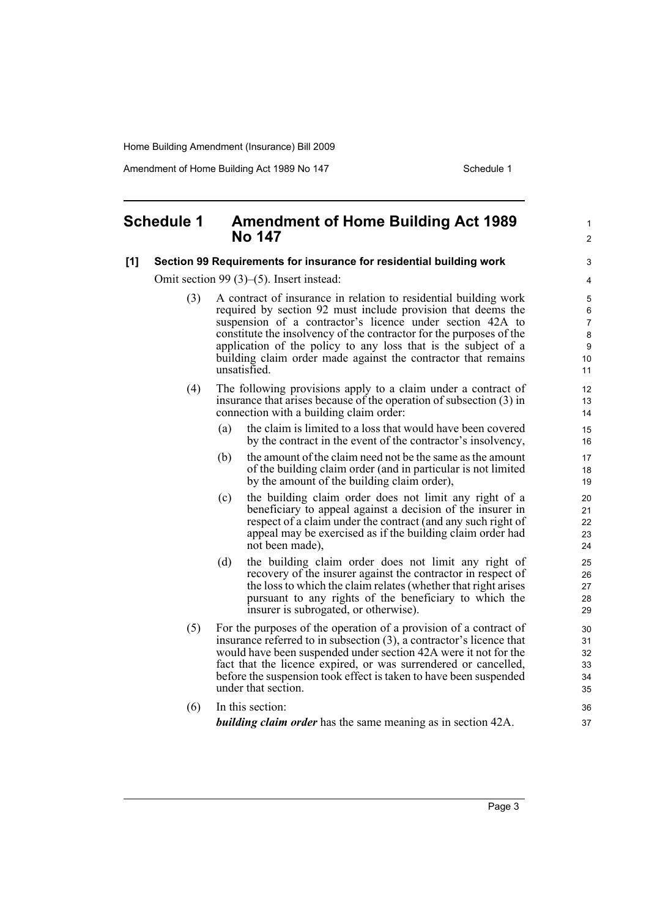Amendment of Home Building Act 1989 No 147 **Schedule 1** Schedule 1

1  $\mathfrak{p}$ 

### <span id="page-8-0"></span>**Schedule 1 Amendment of Home Building Act 1989 No 147**

#### **[1] Section 99 Requirements for insurance for residential building work**

Omit section 99 (3)–(5). Insert instead:

- (3) A contract of insurance in relation to residential building work required by section 92 must include provision that deems the suspension of a contractor's licence under section 42A to constitute the insolvency of the contractor for the purposes of the application of the policy to any loss that is the subject of a building claim order made against the contractor that remains unsatisfied.
- (4) The following provisions apply to a claim under a contract of insurance that arises because of the operation of subsection (3) in connection with a building claim order:
	- (a) the claim is limited to a loss that would have been covered by the contract in the event of the contractor's insolvency,
	- (b) the amount of the claim need not be the same as the amount of the building claim order (and in particular is not limited by the amount of the building claim order),
	- (c) the building claim order does not limit any right of a beneficiary to appeal against a decision of the insurer in respect of a claim under the contract (and any such right of appeal may be exercised as if the building claim order had not been made),
	- (d) the building claim order does not limit any right of recovery of the insurer against the contractor in respect of the loss to which the claim relates (whether that right arises pursuant to any rights of the beneficiary to which the insurer is subrogated, or otherwise).
- (5) For the purposes of the operation of a provision of a contract of insurance referred to in subsection (3), a contractor's licence that would have been suspended under section 42A were it not for the fact that the licence expired, or was surrendered or cancelled, before the suspension took effect is taken to have been suspended under that section.
- (6) In this section: *building claim order* has the same meaning as in section 42A.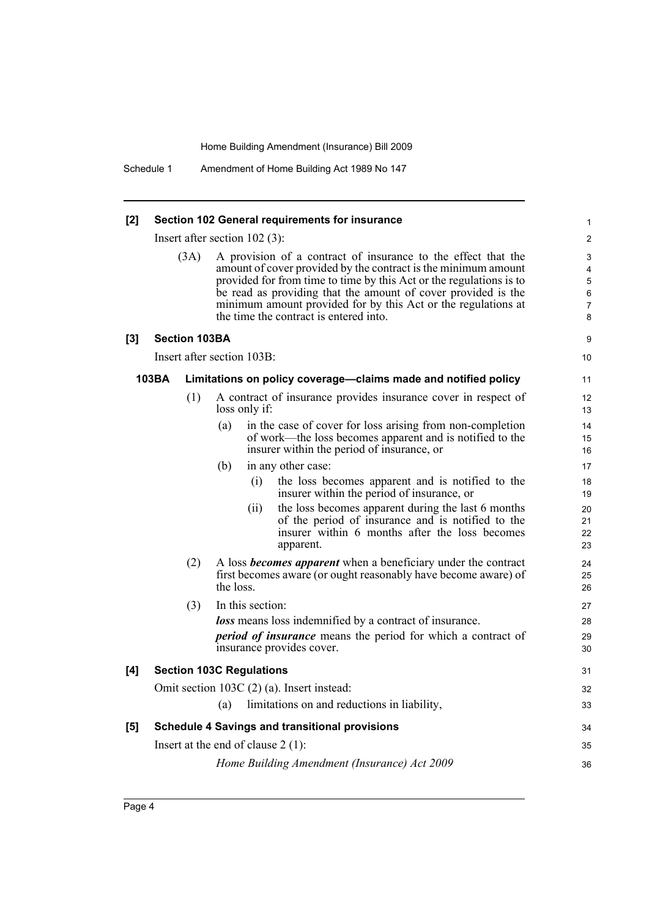Schedule 1 Amendment of Home Building Act 1989 No 147

#### **[2] Section 102 General requirements for insurance**

Insert after section 102 (3):

| (3A) | A provision of a contract of insurance to the effect that the       |
|------|---------------------------------------------------------------------|
|      | amount of cover provided by the contract is the minimum amount      |
|      | provided for from time to time by this Act or the regulations is to |
|      | be read as providing that the amount of cover provided is the       |
|      | minimum amount provided for by this Act or the regulations at       |
|      | the time the contract is entered into.                              |

9 10

#### **[3] Section 103BA**

Insert after section 103B:

#### **103BA Limitations on policy coverage—claims made and notified policy**

- (1) A contract of insurance provides insurance cover in respect of loss only if:
	- (a) in the case of cover for loss arising from non-completion of work—the loss becomes apparent and is notified to the insurer within the period of insurance, or

(b) in any other case:

- (i) the loss becomes apparent and is notified to the insurer within the period of insurance, or
- (ii) the loss becomes apparent during the last 6 months of the period of insurance and is notified to the insurer within 6 months after the loss becomes apparent.
- (2) A loss *becomes apparent* when a beneficiary under the contract first becomes aware (or ought reasonably have become aware) of the loss.

#### (3) In this section: *loss* means loss indemnified by a contract of insurance. *period of insurance* means the period for which a contract of insurance provides cover. **[4] Section 103C Regulations** 27 28 29 30 31

#### Omit section 103C (2) (a). Insert instead: (a) limitations on and reductions in liability, **[5] Schedule 4 Savings and transitional provisions** Insert at the end of clause 2 (1): *Home Building Amendment (Insurance) Act 2009* 32 33 34 35 36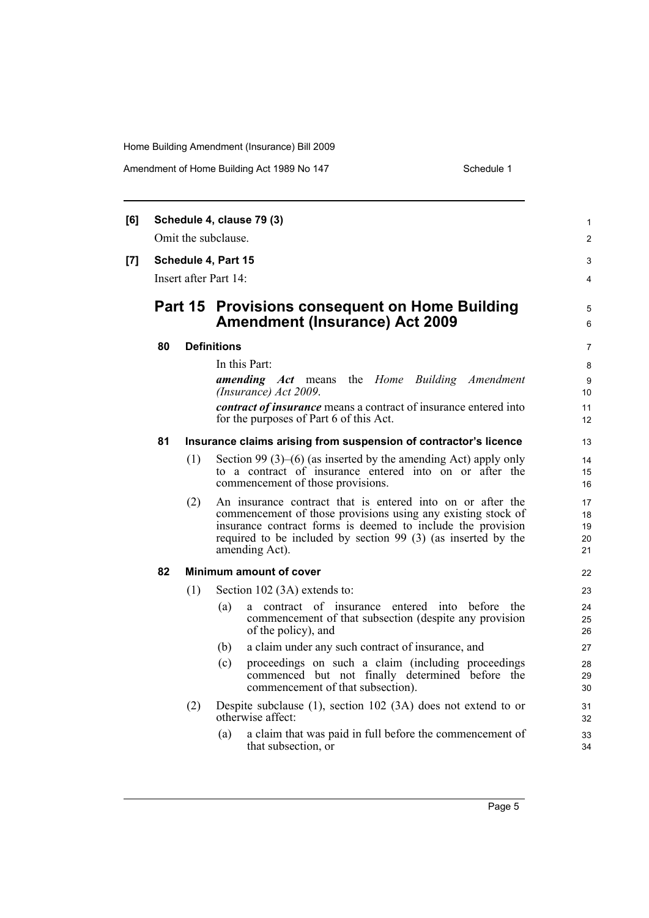Amendment of Home Building Act 1989 No 147 Schedule 1

| [6] |                       |                | Schedule 4, clause 79 (3)                                                                                                                                                                                                                                                    | 1                          |
|-----|-----------------------|----------------|------------------------------------------------------------------------------------------------------------------------------------------------------------------------------------------------------------------------------------------------------------------------------|----------------------------|
|     |                       |                | Omit the subclause.                                                                                                                                                                                                                                                          | $\overline{2}$             |
| [7] | Schedule 4, Part 15   |                |                                                                                                                                                                                                                                                                              | 3                          |
|     | Insert after Part 14: |                |                                                                                                                                                                                                                                                                              | 4                          |
|     |                       | <b>Part 15</b> | <b>Provisions consequent on Home Building</b><br><b>Amendment (Insurance) Act 2009</b>                                                                                                                                                                                       | 5<br>6                     |
|     | 80                    |                | <b>Definitions</b>                                                                                                                                                                                                                                                           | $\overline{7}$             |
|     |                       |                | In this Part:                                                                                                                                                                                                                                                                | 8                          |
|     |                       |                | <i>amending Act</i> means<br>the <i>Home</i> Building <i>Amendment</i><br>(Insurance) Act 2009.                                                                                                                                                                              | 9<br>10                    |
|     |                       |                | <i>contract of insurance</i> means a contract of insurance entered into<br>for the purposes of Part 6 of this Act.                                                                                                                                                           | 11<br>12                   |
|     | 81                    |                | Insurance claims arising from suspension of contractor's licence                                                                                                                                                                                                             | 13                         |
|     |                       | (1)            | Section 99 $(3)$ – $(6)$ (as inserted by the amending Act) apply only<br>to a contract of insurance entered into on or after the<br>commencement of those provisions.                                                                                                        | 14<br>15<br>16             |
|     |                       | (2)            | An insurance contract that is entered into on or after the<br>commencement of those provisions using any existing stock of<br>insurance contract forms is deemed to include the provision<br>required to be included by section 99 (3) (as inserted by the<br>amending Act). | 17<br>18<br>19<br>20<br>21 |
|     | 82                    |                | Minimum amount of cover                                                                                                                                                                                                                                                      | 22                         |
|     |                       | (1)            | Section 102 (3A) extends to:                                                                                                                                                                                                                                                 | 23                         |
|     |                       |                | a contract of insurance entered into before the<br>(a)<br>commencement of that subsection (despite any provision<br>of the policy), and                                                                                                                                      | 24<br>25<br>26             |
|     |                       |                | a claim under any such contract of insurance, and<br>(b)                                                                                                                                                                                                                     | 27                         |
|     |                       |                | proceedings on such a claim (including proceedings<br>(c)<br>commenced but not finally determined before the<br>commencement of that subsection).                                                                                                                            | 28<br>29<br>30             |
|     |                       | (2)            | Despite subclause $(1)$ , section 102 $(3A)$ does not extend to or<br>otherwise affect:                                                                                                                                                                                      | 31<br>32                   |
|     |                       |                | a claim that was paid in full before the commencement of<br>(a)<br>that subsection, or                                                                                                                                                                                       | 33<br>34                   |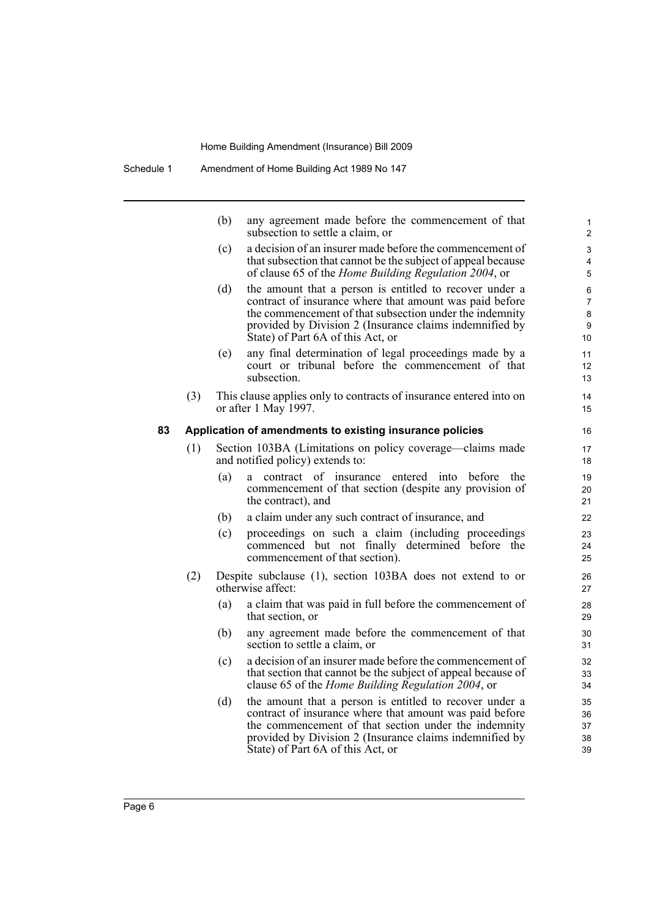|    |     | (b) | any agreement made before the commencement of that<br>subsection to settle a claim, or                                                                                                                                                                                        | 1<br>$\overline{2}$                 |
|----|-----|-----|-------------------------------------------------------------------------------------------------------------------------------------------------------------------------------------------------------------------------------------------------------------------------------|-------------------------------------|
|    |     | (c) | a decision of an insurer made before the commencement of<br>that subsection that cannot be the subject of appeal because<br>of clause 65 of the <i>Home Building Regulation 2004</i> , or                                                                                     | 3<br>4<br>5                         |
|    |     | (d) | the amount that a person is entitled to recover under a<br>contract of insurance where that amount was paid before<br>the commencement of that subsection under the indemnity<br>provided by Division 2 (Insurance claims indemnified by<br>State) of Part 6A of this Act, or | 6<br>$\overline{7}$<br>8<br>9<br>10 |
|    |     | (e) | any final determination of legal proceedings made by a<br>court or tribunal before the commencement of that<br>subsection.                                                                                                                                                    | 11<br>12<br>13                      |
|    | (3) |     | This clause applies only to contracts of insurance entered into on<br>or after 1 May 1997.                                                                                                                                                                                    | 14<br>15                            |
| 83 |     |     | Application of amendments to existing insurance policies                                                                                                                                                                                                                      | 16                                  |
|    | (1) |     | Section 103BA (Limitations on policy coverage—claims made<br>and notified policy) extends to:                                                                                                                                                                                 | 17<br>18                            |
|    |     | (a) | a contract of insurance entered into before<br>the<br>commencement of that section (despite any provision of<br>the contract), and                                                                                                                                            | 19<br>20<br>21                      |
|    |     | (b) | a claim under any such contract of insurance, and                                                                                                                                                                                                                             | 22                                  |
|    |     | (c) | proceedings on such a claim (including proceedings<br>commenced but not finally determined before the<br>commencement of that section).                                                                                                                                       | 23<br>24<br>25                      |
|    | (2) |     | Despite subclause (1), section 103BA does not extend to or<br>otherwise affect:                                                                                                                                                                                               | 26<br>27                            |
|    |     | (a) | a claim that was paid in full before the commencement of<br>that section, or                                                                                                                                                                                                  | 28<br>29                            |
|    |     | (b) | any agreement made before the commencement of that<br>section to settle a claim, or                                                                                                                                                                                           | 30<br>31                            |
|    |     | (c) | a decision of an insurer made before the commencement of<br>that section that cannot be the subject of appeal because of<br>clause 65 of the Home Building Regulation 2004, or                                                                                                | 32<br>33<br>34                      |
|    |     | (d) | the amount that a person is entitled to recover under a<br>contract of insurance where that amount was paid before<br>the commencement of that section under the indemnity<br>provided by Division 2 (Insurance claims indemnified by<br>State) of Part 6A of this Act, or    | 35<br>36<br>37<br>38<br>39          |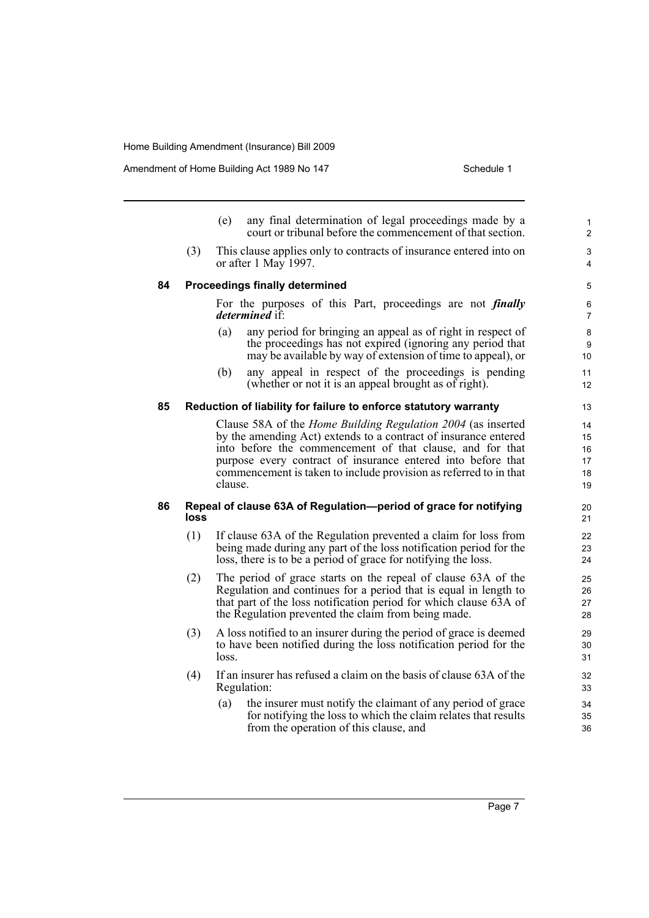Amendment of Home Building Act 1989 No 147 Schedule 1

|    |      | (e)     | any final determination of legal proceedings made by a<br>court or tribunal before the commencement of that section.                                                                                                                                                                                                                     | 1<br>2                           |
|----|------|---------|------------------------------------------------------------------------------------------------------------------------------------------------------------------------------------------------------------------------------------------------------------------------------------------------------------------------------------------|----------------------------------|
|    | (3)  |         | This clause applies only to contracts of insurance entered into on<br>or after 1 May 1997.                                                                                                                                                                                                                                               | 3<br>4                           |
| 84 |      |         | <b>Proceedings finally determined</b>                                                                                                                                                                                                                                                                                                    | 5                                |
|    |      |         | For the purposes of this Part, proceedings are not <i>finally</i><br><i>determined</i> if:                                                                                                                                                                                                                                               | 6<br>$\overline{7}$              |
|    |      | (a)     | any period for bringing an appeal as of right in respect of<br>the proceedings has not expired (ignoring any period that<br>may be available by way of extension of time to appeal), or                                                                                                                                                  | 8<br>9<br>10                     |
|    |      | (b)     | any appeal in respect of the proceedings is pending<br>(whether or not it is an appeal brought as of right).                                                                                                                                                                                                                             | 11<br>12                         |
| 85 |      |         | Reduction of liability for failure to enforce statutory warranty                                                                                                                                                                                                                                                                         | 13                               |
|    |      | clause. | Clause 58A of the <i>Home Building Regulation 2004</i> (as inserted<br>by the amending Act) extends to a contract of insurance entered<br>into before the commencement of that clause, and for that<br>purpose every contract of insurance entered into before that<br>commencement is taken to include provision as referred to in that | 14<br>15<br>16<br>17<br>18<br>19 |
| 86 | loss |         | Repeal of clause 63A of Regulation-period of grace for notifying                                                                                                                                                                                                                                                                         | 20<br>21                         |
|    | (1)  |         | If clause 63A of the Regulation prevented a claim for loss from<br>being made during any part of the loss notification period for the<br>loss, there is to be a period of grace for notifying the loss.                                                                                                                                  | 22<br>23<br>24                   |
|    | (2)  |         | The period of grace starts on the repeal of clause 63A of the<br>Regulation and continues for a period that is equal in length to<br>that part of the loss notification period for which clause 63A of<br>the Regulation prevented the claim from being made.                                                                            | 25<br>26<br>27<br>28             |
|    | (3)  | loss.   | A loss notified to an insurer during the period of grace is deemed<br>to have been notified during the loss notification period for the                                                                                                                                                                                                  | 29<br>30<br>31                   |
|    | (4)  |         | If an insurer has refused a claim on the basis of clause 63A of the<br>Regulation:                                                                                                                                                                                                                                                       | 32<br>33                         |
|    |      | (a)     | the insurer must notify the claimant of any period of grace<br>for notifying the loss to which the claim relates that results<br>from the operation of this clause, and                                                                                                                                                                  | 34<br>35<br>36                   |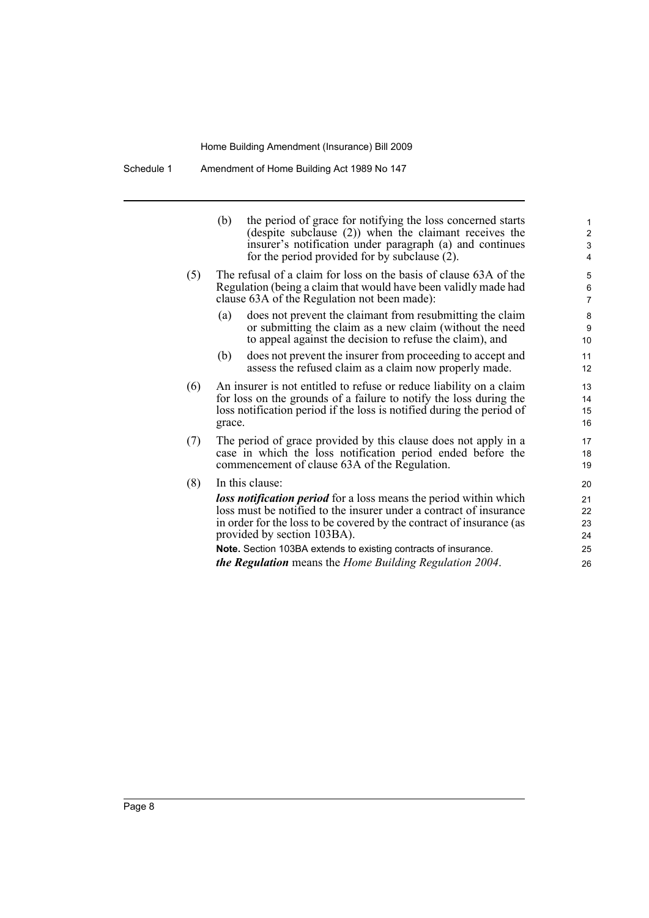Schedule 1 Amendment of Home Building Act 1989 No 147

|     | the period of grace for notifying the loss concerned starts<br>(b)<br>(despite subclause (2)) when the claimant receives the<br>insurer's notification under paragraph (a) and continues<br>for the period provided for by subclause (2).             | 1<br>$\overline{\mathbf{c}}$<br>3<br>4 |  |
|-----|-------------------------------------------------------------------------------------------------------------------------------------------------------------------------------------------------------------------------------------------------------|----------------------------------------|--|
| (5) | The refusal of a claim for loss on the basis of clause 63A of the<br>Regulation (being a claim that would have been validly made had<br>clause 63A of the Regulation not been made):                                                                  | 5<br>6<br>$\overline{7}$               |  |
|     | does not prevent the claimant from resubmitting the claim<br>(a)<br>or submitting the claim as a new claim (without the need<br>to appeal against the decision to refuse the claim), and                                                              | 8<br>9<br>10                           |  |
|     | does not prevent the insurer from proceeding to accept and<br>(b)<br>assess the refused claim as a claim now properly made.                                                                                                                           | 11<br>12                               |  |
| (6) | An insurer is not entitled to refuse or reduce liability on a claim<br>13<br>for loss on the grounds of a failure to notify the loss during the<br>14<br>loss notification period if the loss is notified during the period of<br>15<br>grace.<br>16  |                                        |  |
| (7) | The period of grace provided by this clause does not apply in a<br>17<br>case in which the loss notification period ended before the<br>18<br>commencement of clause 63A of the Regulation.<br>19                                                     |                                        |  |
| (8) | In this clause:                                                                                                                                                                                                                                       | 20                                     |  |
|     | <b>loss notification period</b> for a loss means the period within which<br>loss must be notified to the insurer under a contract of insurance<br>in order for the loss to be covered by the contract of insurance (as<br>provided by section 103BA). | 21<br>22<br>23<br>24                   |  |
|     | Note. Section 103BA extends to existing contracts of insurance.<br><b>the Regulation</b> means the Home Building Regulation 2004.                                                                                                                     | 25<br>26                               |  |
|     |                                                                                                                                                                                                                                                       |                                        |  |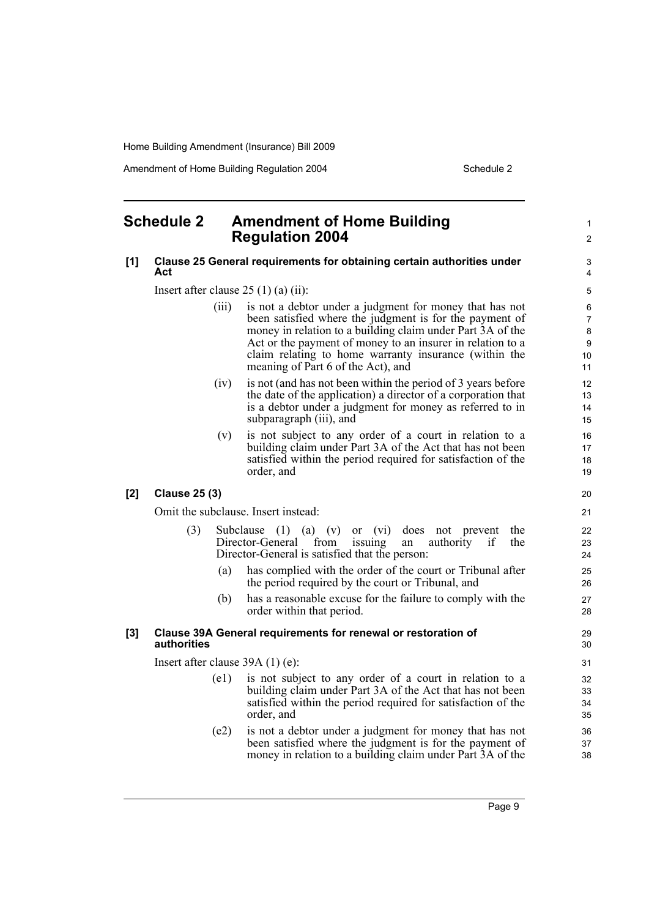Amendment of Home Building Regulation 2004 Schedule 2

### <span id="page-14-0"></span>**Schedule 2 Amendment of Home Building Regulation 2004**

#### **[1] Clause 25 General requirements for obtaining certain authorities under Act**

Insert after clause  $25(1)(a)(ii)$ :

- (iii) is not a debtor under a judgment for money that has not been satisfied where the judgment is for the payment of money in relation to a building claim under Part 3A of the Act or the payment of money to an insurer in relation to a claim relating to home warranty insurance (within the meaning of Part 6 of the Act), and
- (iv) is not (and has not been within the period of 3 years before the date of the application) a director of a corporation that is a debtor under a judgment for money as referred to in subparagraph (iii), and
- (v) is not subject to any order of a court in relation to a building claim under Part 3A of the Act that has not been satisfied within the period required for satisfaction of the order, and

#### **[2] Clause 25 (3)**

Omit the subclause. Insert instead:

- (3) Subclause (1) (a) (v) or (vi) does not prevent the Director-General from issuing an authority if the Director-General from issuing an authority if Director-General is satisfied that the person:
	- (a) has complied with the order of the court or Tribunal after the period required by the court or Tribunal, and
	- (b) has a reasonable excuse for the failure to comply with the order within that period.

#### **[3] Clause 39A General requirements for renewal or restoration of authorities**

Insert after clause 39A (1) (e):

- (e1) is not subject to any order of a court in relation to a building claim under Part 3A of the Act that has not been satisfied within the period required for satisfaction of the order, and
- (e2) is not a debtor under a judgment for money that has not been satisfied where the judgment is for the payment of money in relation to a building claim under Part 3A of the

Page 9

21

20

1  $\mathfrak{p}$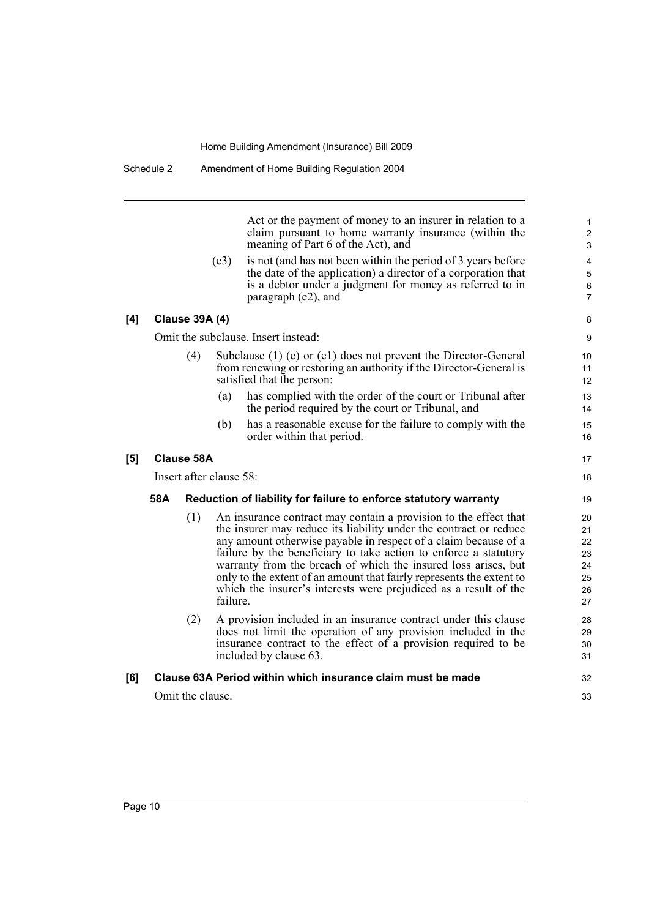Act or the payment of money to an insurer in relation to a claim pursuant to home warranty insurance (within the meaning of Part 6 of the Act), and

17 18

32 33

(e3) is not (and has not been within the period of 3 years before the date of the application) a director of a corporation that is a debtor under a judgment for money as referred to in paragraph (e2), and

#### **[4] Clause 39A (4)**

Omit the subclause. Insert instead:

- Subclause (1) (e) or (e1) does not prevent the Director-General from renewing or restoring an authority if the Director-General is satisfied that the person:
	- (a) has complied with the order of the court or Tribunal after the period required by the court or Tribunal, and
	- (b) has a reasonable excuse for the failure to comply with the order within that period.

### **[5] Clause 58A**

Insert after clause 58:

#### **58A Reduction of liability for failure to enforce statutory warranty**

- (1) An insurance contract may contain a provision to the effect that the insurer may reduce its liability under the contract or reduce any amount otherwise payable in respect of a claim because of a failure by the beneficiary to take action to enforce a statutory warranty from the breach of which the insured loss arises, but only to the extent of an amount that fairly represents the extent to which the insurer's interests were prejudiced as a result of the failure.
- (2) A provision included in an insurance contract under this clause does not limit the operation of any provision included in the insurance contract to the effect of a provision required to be included by clause 63.

### **[6] Clause 63A Period within which insurance claim must be made**

Omit the clause.